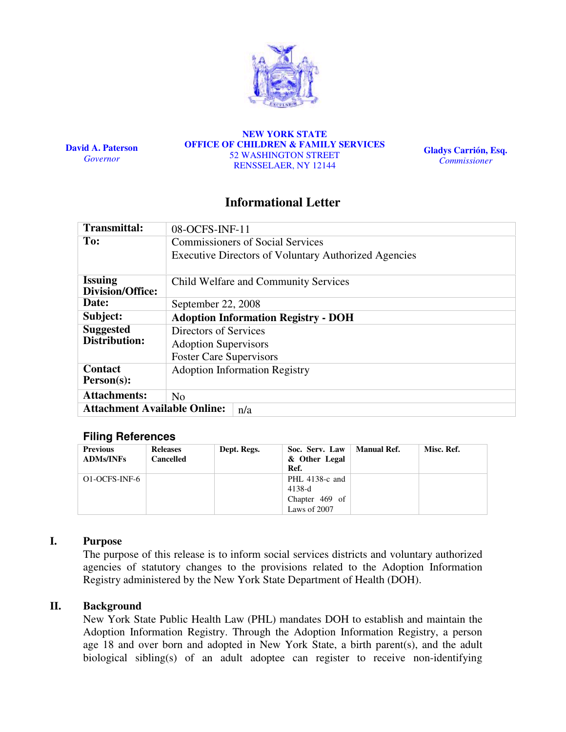

David A. Paterson **Governor** 

NEW YORK STATE OFFICE OF CHILDREN & FAMILY SERVICES 52 WASHINGTON STREET RENSSELAER, NY 12144

Gladys Carrión, Esq. Commissioner

# Informational Letter

| <b>Transmittal:</b>                        | 08-OCFS-INF-11                                              |  |  |  |  |
|--------------------------------------------|-------------------------------------------------------------|--|--|--|--|
| To:                                        | <b>Commissioners of Social Services</b>                     |  |  |  |  |
|                                            | <b>Executive Directors of Voluntary Authorized Agencies</b> |  |  |  |  |
| <b>Issuing</b><br>Division/Office:         | Child Welfare and Community Services                        |  |  |  |  |
| Date:                                      | September 22, 2008                                          |  |  |  |  |
| Subject:                                   | <b>Adoption Information Registry - DOH</b>                  |  |  |  |  |
| <b>Suggested</b>                           | Directors of Services                                       |  |  |  |  |
| <b>Distribution:</b>                       | <b>Adoption Supervisors</b>                                 |  |  |  |  |
|                                            | <b>Foster Care Supervisors</b>                              |  |  |  |  |
| <b>Contact</b><br>Person(s):               | <b>Adoption Information Registry</b>                        |  |  |  |  |
| <b>Attachments:</b>                        | N <sub>o</sub>                                              |  |  |  |  |
| <b>Attachment Available Online:</b><br>n/a |                                                             |  |  |  |  |

### Filing References

| <b>Previous</b><br><b>ADMs/INFs</b> | <b>Releases</b><br><b>Cancelled</b> | Dept. Regs. | Soc. Serv. Law<br>& Other Legal<br>Ref.      | Manual Ref. | Misc. Ref. |
|-------------------------------------|-------------------------------------|-------------|----------------------------------------------|-------------|------------|
| O1-OCFS-INF-6                       |                                     |             | PHL 4138-c and<br>$4138-d$<br>Chapter 469 of |             |            |
|                                     |                                     |             | Laws of 2007                                 |             |            |

### I. Purpose

The purpose of this release is to inform social services districts and voluntary authorized agencies of statutory changes to the provisions related to the Adoption Information Registry administered by the New York State Department of Health (DOH).

### II. Background

New York State Public Health Law (PHL) mandates DOH to establish and maintain the Adoption Information Registry. Through the Adoption Information Registry, a person age 18 and over born and adopted in New York State, a birth parent(s), and the adult biological sibling(s) of an adult adoptee can register to receive non-identifying